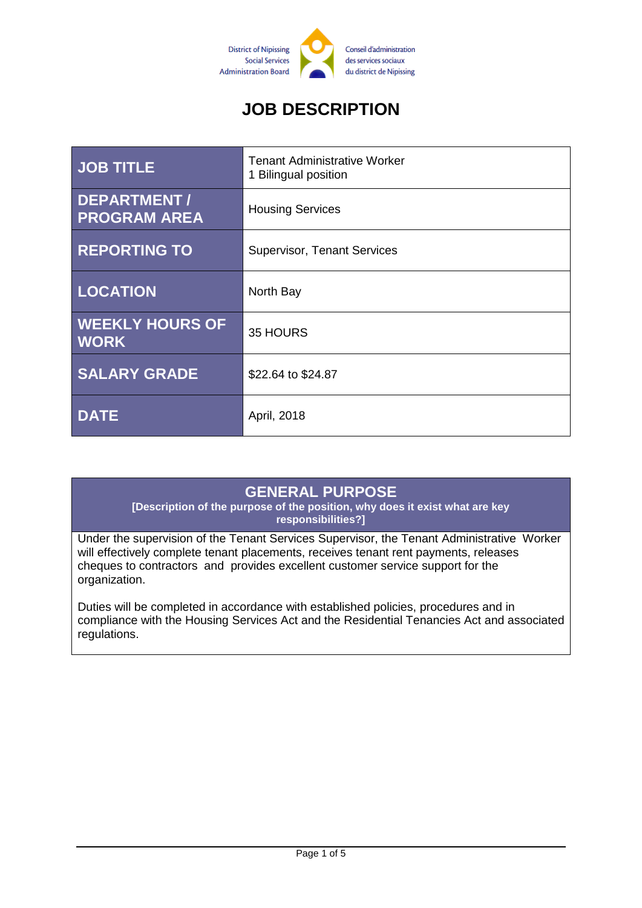

# **JOB DESCRIPTION**

| <b>JOB TITLE</b>                      | <b>Tenant Administrative Worker</b><br>1 Bilingual position |
|---------------------------------------|-------------------------------------------------------------|
| DEPARTMENT/<br><b>PROGRAM AREA</b>    | <b>Housing Services</b>                                     |
| <b>REPORTING TO</b>                   | <b>Supervisor, Tenant Services</b>                          |
| <b>LOCATION</b>                       | North Bay                                                   |
| <b>WEEKLY HOURS OF</b><br><b>WORK</b> | 35 HOURS                                                    |
| <b>SALARY GRADE</b>                   | \$22.64 to \$24.87                                          |
| <b>DATE</b>                           | April, 2018                                                 |

### **GENERAL PURPOSE**

**[Description of the purpose of the position, why does it exist what are key responsibilities?]**

Under the supervision of the Tenant Services Supervisor, the Tenant Administrative Worker will effectively complete tenant placements, receives tenant rent payments, releases cheques to contractors and provides excellent customer service support for the organization.

Duties will be completed in accordance with established policies, procedures and in compliance with the Housing Services Act and the Residential Tenancies Act and associated regulations.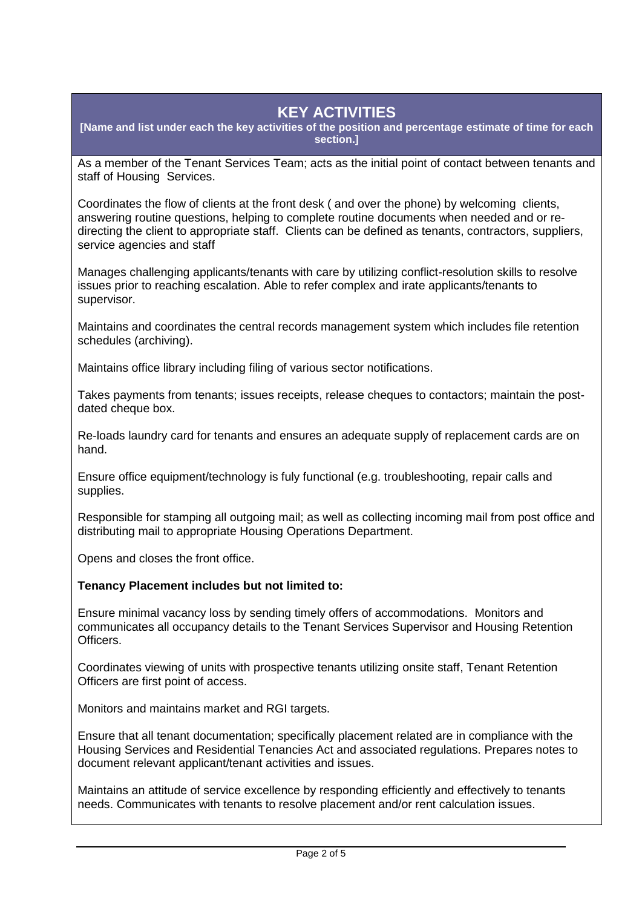# **KEY ACTIVITIES**

**[Name and list under each the key activities of the position and percentage estimate of time for each section.]**

As a member of the Tenant Services Team; acts as the initial point of contact between tenants and staff of Housing Services.

Coordinates the flow of clients at the front desk ( and over the phone) by welcoming clients, answering routine questions, helping to complete routine documents when needed and or redirecting the client to appropriate staff. Clients can be defined as tenants, contractors, suppliers, service agencies and staff

Manages challenging applicants/tenants with care by utilizing conflict-resolution skills to resolve issues prior to reaching escalation. Able to refer complex and irate applicants/tenants to supervisor.

Maintains and coordinates the central records management system which includes file retention schedules (archiving).

Maintains office library including filing of various sector notifications.

Takes payments from tenants; issues receipts, release cheques to contactors; maintain the postdated cheque box.

Re-loads laundry card for tenants and ensures an adequate supply of replacement cards are on hand.

Ensure office equipment/technology is fuly functional (e.g. troubleshooting, repair calls and supplies.

Responsible for stamping all outgoing mail; as well as collecting incoming mail from post office and distributing mail to appropriate Housing Operations Department.

Opens and closes the front office.

#### **Tenancy Placement includes but not limited to:**

Ensure minimal vacancy loss by sending timely offers of accommodations. Monitors and communicates all occupancy details to the Tenant Services Supervisor and Housing Retention Officers.

Coordinates viewing of units with prospective tenants utilizing onsite staff, Tenant Retention Officers are first point of access.

Monitors and maintains market and RGI targets.

Ensure that all tenant documentation; specifically placement related are in compliance with the Housing Services and Residential Tenancies Act and associated regulations. Prepares notes to document relevant applicant/tenant activities and issues.

Maintains an attitude of service excellence by responding efficiently and effectively to tenants needs. Communicates with tenants to resolve placement and/or rent calculation issues.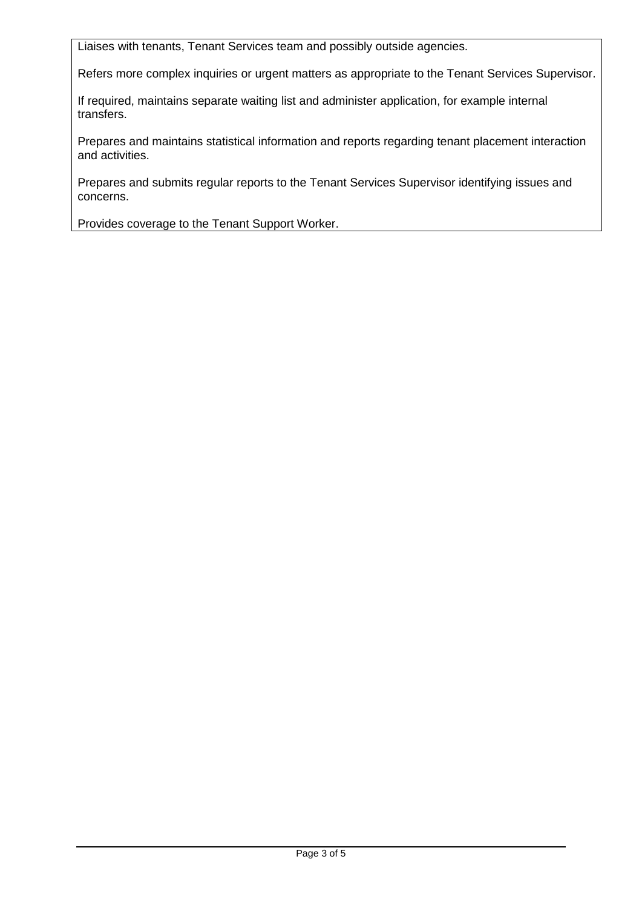Liaises with tenants, Tenant Services team and possibly outside agencies.

Refers more complex inquiries or urgent matters as appropriate to the Tenant Services Supervisor.

If required, maintains separate waiting list and administer application, for example internal transfers.

Prepares and maintains statistical information and reports regarding tenant placement interaction and activities.

Prepares and submits regular reports to the Tenant Services Supervisor identifying issues and concerns.

Provides coverage to the Tenant Support Worker.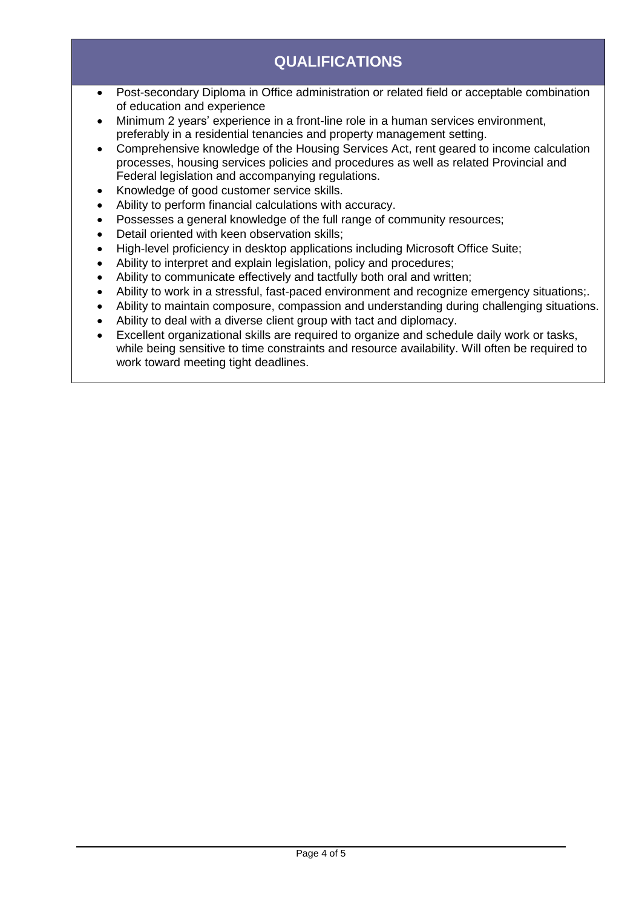# **QUALIFICATIONS**

- Post-secondary Diploma in Office administration or related field or acceptable combination of education and experience
- Minimum 2 years' experience in a front-line role in a human services environment, preferably in a residential tenancies and property management setting.
- Comprehensive knowledge of the Housing Services Act, rent geared to income calculation processes, housing services policies and procedures as well as related Provincial and Federal legislation and accompanying regulations.
- Knowledge of good customer service skills.
- Ability to perform financial calculations with accuracy.
- Possesses a general knowledge of the full range of community resources;
- Detail oriented with keen observation skills:
- High-level proficiency in desktop applications including Microsoft Office Suite;
- Ability to interpret and explain legislation, policy and procedures;
- Ability to communicate effectively and tactfully both oral and written;
- Ability to work in a stressful, fast-paced environment and recognize emergency situations;.
- Ability to maintain composure, compassion and understanding during challenging situations.
- Ability to deal with a diverse client group with tact and diplomacy.
- Excellent organizational skills are required to organize and schedule daily work or tasks, while being sensitive to time constraints and resource availability. Will often be required to work toward meeting tight deadlines.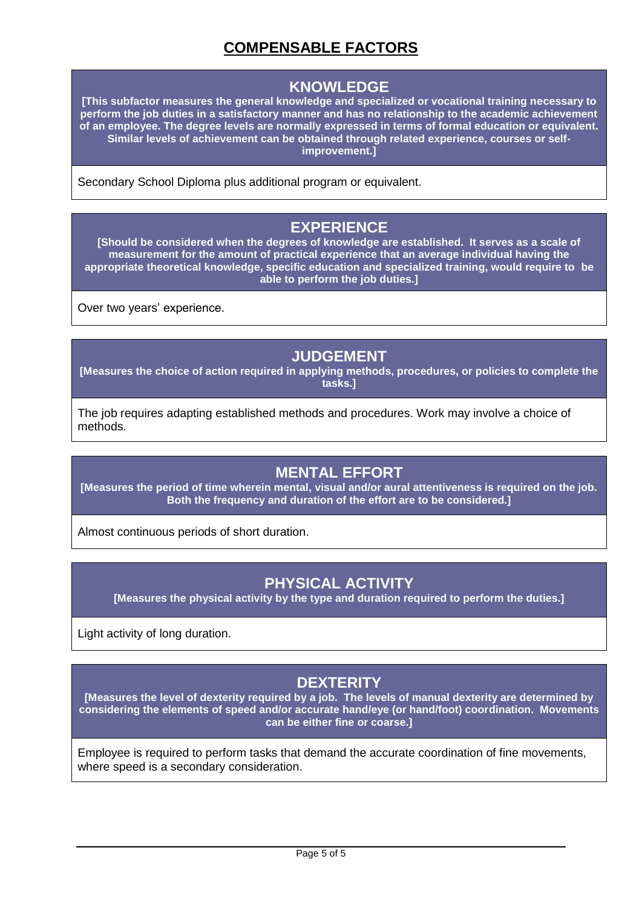# **COMPENSABLE FACTORS**

#### **KNOWLEDGE**

**[This subfactor measures the general knowledge and specialized or vocational training necessary to perform the job duties in a satisfactory manner and has no relationship to the academic achievement of an employee. The degree levels are normally expressed in terms of formal education or equivalent. Similar levels of achievement can be obtained through related experience, courses or selfimprovement.]**

Secondary School Diploma plus additional program or equivalent.

#### **EXPERIENCE**

**[Should be considered when the degrees of knowledge are established. It serves as a scale of measurement for the amount of practical experience that an average individual having the appropriate theoretical knowledge, specific education and specialized training, would require to be able to perform the job duties.]**

Over two years' experience.

#### **JUDGEMENT**

**[Measures the choice of action required in applying methods, procedures, or policies to complete the tasks.]**

The job requires adapting established methods and procedures. Work may involve a choice of methods.

### **MENTAL EFFORT**

**[Measures the period of time wherein mental, visual and/or aural attentiveness is required on the job. Both the frequency and duration of the effort are to be considered.]**

Almost continuous periods of short duration.

### **PHYSICAL ACTIVITY**

**[Measures the physical activity by the type and duration required to perform the duties.]**

Light activity of long duration.

## **DEXTERITY**

**[Measures the level of dexterity required by a job. The levels of manual dexterity are determined by considering the elements of speed and/or accurate hand/eye (or hand/foot) coordination. Movements can be either fine or coarse.]**

Employee is required to perform tasks that demand the accurate coordination of fine movements, where speed is a secondary consideration.